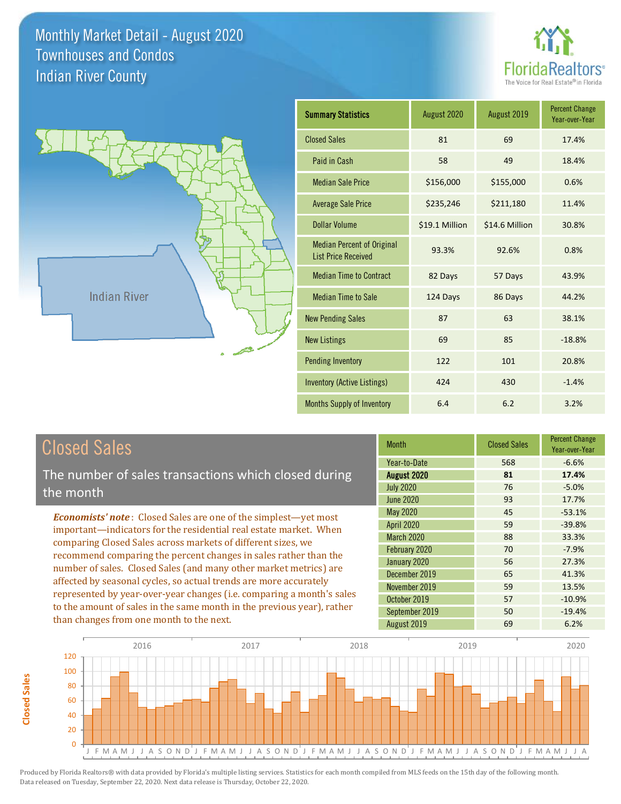



**Closed Sales**

**Closed Sales** 

| <b>Summary Statistics</b>                                       | August 2020    | August 2019    | <b>Percent Change</b><br>Year-over-Year |
|-----------------------------------------------------------------|----------------|----------------|-----------------------------------------|
| <b>Closed Sales</b>                                             | 81             | 69             | 17.4%                                   |
| Paid in Cash                                                    | 58             | 49             | 18.4%                                   |
| <b>Median Sale Price</b>                                        | \$156,000      | \$155,000      | 0.6%                                    |
| <b>Average Sale Price</b>                                       | \$235,246      | \$211,180      | 11.4%                                   |
| Dollar Volume                                                   | \$19.1 Million | \$14.6 Million | 30.8%                                   |
| <b>Median Percent of Original</b><br><b>List Price Received</b> | 93.3%          | 92.6%          | 0.8%                                    |
| <b>Median Time to Contract</b>                                  | 82 Days        | 57 Days        | 43.9%                                   |
| <b>Median Time to Sale</b>                                      | 124 Days       | 86 Days        | 44.2%                                   |
| <b>New Pending Sales</b>                                        | 87             | 63             | 38.1%                                   |
| <b>New Listings</b>                                             | 69             | 85             | $-18.8%$                                |
| <b>Pending Inventory</b>                                        | 122            | 101            | 20.8%                                   |
| <b>Inventory (Active Listings)</b>                              | 424            | 430            | $-1.4%$                                 |
| Months Supply of Inventory                                      | 6.4            | 6.2            | 3.2%                                    |

| <b>Closed Sales</b>                                                                                                                                                                                        | <b>Month</b>      | <b>Closed Sales</b> | <b>Percent Change</b><br>Year-over-Year |
|------------------------------------------------------------------------------------------------------------------------------------------------------------------------------------------------------------|-------------------|---------------------|-----------------------------------------|
|                                                                                                                                                                                                            | Year-to-Date      | 568                 | $-6.6%$                                 |
| The number of sales transactions which closed during                                                                                                                                                       | August 2020       | 81                  | 17.4%                                   |
| the month                                                                                                                                                                                                  | <b>July 2020</b>  | 76                  | $-5.0%$                                 |
|                                                                                                                                                                                                            | <b>June 2020</b>  | 93                  | 17.7%                                   |
| <b>Economists' note:</b> Closed Sales are one of the simplest—yet most                                                                                                                                     | May 2020          | 45                  | $-53.1%$                                |
| important—indicators for the residential real estate market. When                                                                                                                                          | <b>April 2020</b> | 59                  | $-39.8%$                                |
| comparing Closed Sales across markets of different sizes, we                                                                                                                                               | <b>March 2020</b> | 88                  | 33.3%                                   |
| recommend comparing the percent changes in sales rather than the<br>number of sales. Closed Sales (and many other market metrics) are<br>affected by seasonal cycles, so actual trends are more accurately | February 2020     | 70                  | $-7.9%$                                 |
|                                                                                                                                                                                                            | January 2020      | 56                  | 27.3%                                   |
|                                                                                                                                                                                                            | December 2019     | 65                  | 41.3%                                   |
|                                                                                                                                                                                                            | November 2019     | 59                  | 13.5%                                   |
| represented by year-over-year changes (i.e. comparing a month's sales                                                                                                                                      | October 2019      | 57                  | $-10.9%$                                |
| to the amount of sales in the same month in the previous year), rather                                                                                                                                     | September 2019    | 50                  | $-19.4%$                                |
| than changes from one month to the next.                                                                                                                                                                   | August 2019       | 69                  | 6.2%                                    |

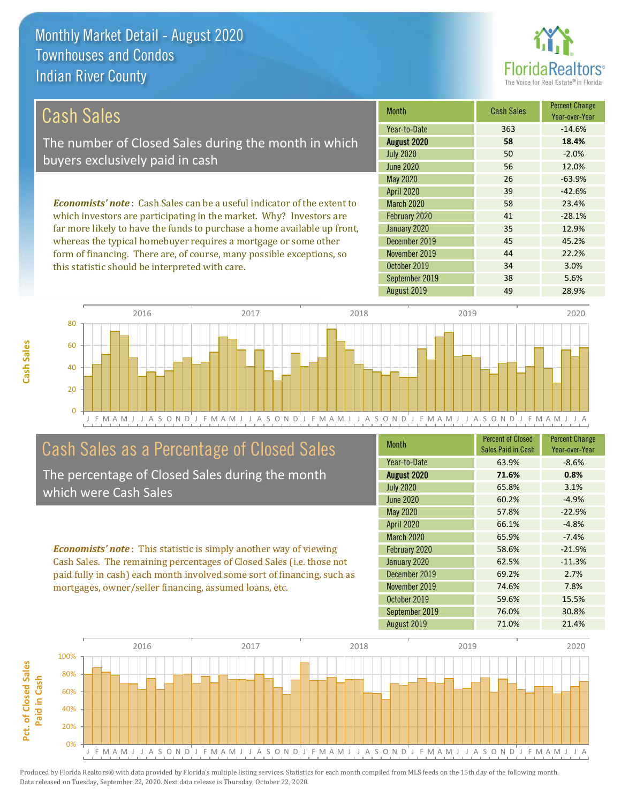this statistic should be interpreted with care.



34 3.0%

| Cash Sales                                                                     | <b>Month</b>      | <b>Cash Sales</b> | <b>Percent Change</b><br>Year-over-Year |
|--------------------------------------------------------------------------------|-------------------|-------------------|-----------------------------------------|
|                                                                                | Year-to-Date      | 363               | $-14.6%$                                |
| The number of Closed Sales during the month in which                           | August 2020       | 58                | 18.4%                                   |
| buyers exclusively paid in cash                                                | <b>July 2020</b>  | 50                | $-2.0%$                                 |
|                                                                                | June 2020         | 56                | 12.0%                                   |
|                                                                                | May 2020          | 26                | $-63.9%$                                |
|                                                                                | <b>April 2020</b> | 39                | $-42.6%$                                |
| <b>Economists' note:</b> Cash Sales can be a useful indicator of the extent to | <b>March 2020</b> | 58                | 23.4%                                   |
| which investors are participating in the market. Why? Investors are            | February 2020     | 41                | $-28.1%$                                |
| far more likely to have the funds to purchase a home available up front,       | January 2020      | 35                | 12.9%                                   |
| whereas the typical homebuyer requires a mortgage or some other                | December 2019     | 45                | 45.2%                                   |
| form of financing. There are, of course, many possible exceptions, so          | November 2019     | 44                | 22.2%                                   |

J F M A M J J A S O N D J F M A M J J A S O N D J F M A M J J A S O N D J F M A M J J A S O N D J F M A M J J A 0 20 40 60 80 2016 2017 2018 2019 2020

# Cash Sales as a Percentage of Closed Sales

The percentage of Closed Sales during the month which were Cash Sales

*Economists' note* : This statistic is simply another way of viewing Cash Sales. The remaining percentages of Closed Sales (i.e. those not paid fully in cash) each month involved some sort of financing, such as mortgages, owner/seller financing, assumed loans, etc.

| <b>Month</b>      | <b>Percent of Closed</b><br>Sales Paid in Cash | <b>Percent Change</b><br>Year-over-Year |
|-------------------|------------------------------------------------|-----------------------------------------|
| Year-to-Date      | 63.9%                                          | $-8.6%$                                 |
| August 2020       | 71.6%                                          | 0.8%                                    |
| <b>July 2020</b>  | 65.8%                                          | 3.1%                                    |
| <b>June 2020</b>  | 60.2%                                          | $-4.9%$                                 |
| May 2020          | 57.8%                                          | $-22.9%$                                |
| <b>April 2020</b> | 66.1%                                          | $-4.8%$                                 |
| March 2020        | 65.9%                                          | $-7.4%$                                 |
| February 2020     | 58.6%                                          | $-21.9%$                                |
| January 2020      | 62.5%                                          | $-11.3%$                                |
| December 2019     | 69.2%                                          | 2.7%                                    |
| November 2019     | 74.6%                                          | 7.8%                                    |
| October 2019      | 59.6%                                          | 15.5%                                   |
| September 2019    | 76.0%                                          | 30.8%                                   |
| August 2019       | 71.0%                                          | 21.4%                                   |

September 2019 **38** 5.6%

October 2019

August 2019 **49** 28.9%



**Cash Sales**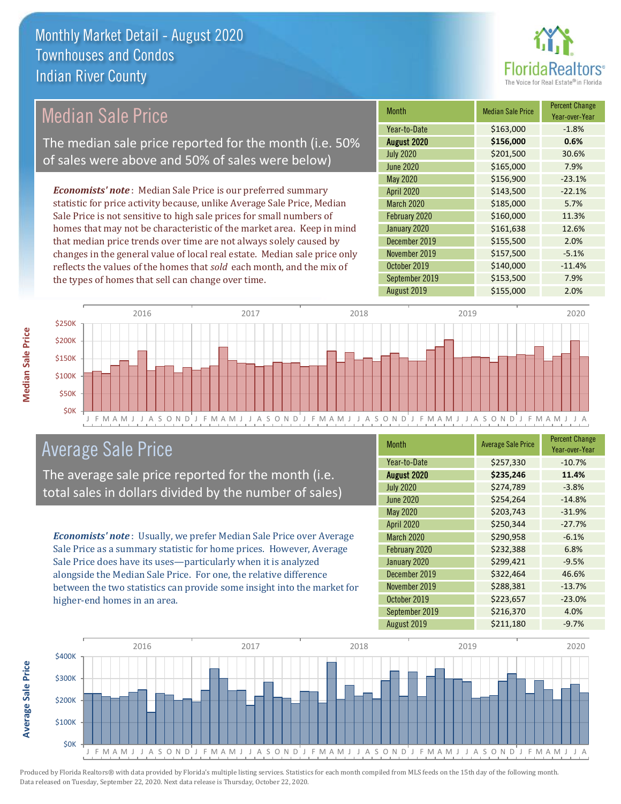

### Median Sale Price

The median sale price reported for the month (i.e. 50% of sales were above and 50% of sales were below)

*Economists' note* : Median Sale Price is our preferred summary statistic for price activity because, unlike Average Sale Price, Median Sale Price is not sensitive to high sale prices for small numbers of homes that may not be characteristic of the market area. Keep in mind that median price trends over time are not always solely caused by changes in the general value of local real estate. Median sale price only reflects the values of the homes that *sold* each month, and the mix of the types of homes that sell can change over time.

| <b>Month</b>     | <b>Median Sale Price</b> | <b>Percent Change</b><br>Year-over-Year |
|------------------|--------------------------|-----------------------------------------|
| Year-to-Date     | \$163,000                | $-1.8%$                                 |
| August 2020      | \$156,000                | 0.6%                                    |
| <b>July 2020</b> | \$201,500                | 30.6%                                   |
| <b>June 2020</b> | \$165,000                | 7.9%                                    |
| May 2020         | \$156,900                | $-23.1%$                                |
| April 2020       | \$143,500                | $-22.1%$                                |
| March 2020       | \$185,000                | 5.7%                                    |
| February 2020    | \$160,000                | 11.3%                                   |
| January 2020     | \$161,638                | 12.6%                                   |
| December 2019    | \$155,500                | 2.0%                                    |
| November 2019    | \$157,500                | $-5.1%$                                 |
| October 2019     | \$140,000                | $-11.4%$                                |
| September 2019   | \$153,500                | 7.9%                                    |
| August 2019      | \$155,000                | 2.0%                                    |



### Average Sale Price

The average sale price reported for the month (i.e. total sales in dollars divided by the number of sales)

*Economists' note* : Usually, we prefer Median Sale Price over Average Sale Price as a summary statistic for home prices. However, Average Sale Price does have its uses—particularly when it is analyzed alongside the Median Sale Price. For one, the relative difference between the two statistics can provide some insight into the market for higher-end homes in an area.

| <b>Month</b>     | <b>Average Sale Price</b> | <b>Percent Change</b><br>Year-over-Year |
|------------------|---------------------------|-----------------------------------------|
| Year-to-Date     | \$257,330                 | $-10.7%$                                |
| August 2020      | \$235,246                 | 11.4%                                   |
| <b>July 2020</b> | \$274,789                 | $-3.8%$                                 |
| <b>June 2020</b> | \$254,264                 | $-14.8%$                                |
| May 2020         | \$203,743                 | $-31.9%$                                |
| April 2020       | \$250,344                 | $-27.7%$                                |
| March 2020       | \$290,958                 | $-6.1%$                                 |
| February 2020    | \$232,388                 | 6.8%                                    |
| January 2020     | \$299,421                 | $-9.5%$                                 |
| December 2019    | \$322,464                 | 46.6%                                   |
| November 2019    | \$288,381                 | $-13.7%$                                |
| October 2019     | \$223,657                 | $-23.0%$                                |
| September 2019   | \$216,370                 | 4.0%                                    |
| August 2019      | \$211,180                 | $-9.7%$                                 |



**Median Sale Price**

**Median Sale Price** 

**Average Sale Price**

Average Sale Price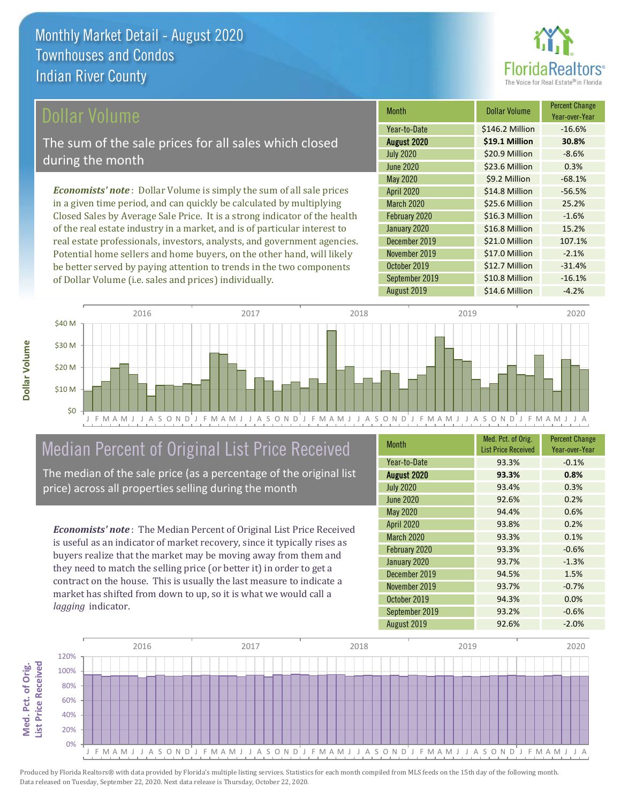

Year-over-Year

### ollar Volume

The sum of the sale prices for all sales which closed during the month

*Economists' note* : Dollar Volume is simply the sum of all sale prices in a given time period, and can quickly be calculated by multiplying Closed Sales by Average Sale Price. It is a strong indicator of the health of the real estate industry in a market, and is of particular interest to real estate professionals, investors, analysts, and government agencies. Potential home sellers and home buyers, on the other hand, will likely be better served by paying attention to trends in the two components of Dollar Volume (i.e. sales and prices) individually.



### Median Percent of Original List Price Received

The median of the sale price (as a percentage of the original list price) across all properties selling during the month

*Economists' note* : The Median Percent of Original List Price Received is useful as an indicator of market recovery, since it typically rises as buyers realize that the market may be moving away from them and they need to match the selling price (or better it) in order to get a contract on the house. This is usually the last measure to indicate a market has shifted from down to up, so it is what we would call a *lagging* indicator.

| <b>Month</b>      | Med. Pct. of Orig.<br><b>List Price Received</b> | <b>Percent Change</b><br>Year-over-Year |
|-------------------|--------------------------------------------------|-----------------------------------------|
| Year-to-Date      | 93.3%                                            | $-0.1%$                                 |
| August 2020       | 93.3%                                            | 0.8%                                    |
| <b>July 2020</b>  | 93.4%                                            | 0.3%                                    |
| <b>June 2020</b>  | 92.6%                                            | 0.2%                                    |
| May 2020          | 94.4%                                            | 0.6%                                    |
| <b>April 2020</b> | 93.8%                                            | 0.2%                                    |
| March 2020        | 93.3%                                            | 0.1%                                    |
| February 2020     | 93.3%                                            | $-0.6%$                                 |
| January 2020      | 93.7%                                            | $-1.3%$                                 |
| December 2019     | 94.5%                                            | 1.5%                                    |
| November 2019     | 93.7%                                            | $-0.7%$                                 |
| October 2019      | 94.3%                                            | 0.0%                                    |
| September 2019    | 93.2%                                            | $-0.6%$                                 |
| August 2019       | 92.6%                                            | $-2.0%$                                 |

December 2019 \$21.0 Million 107.1%

May 2020 \$9.2 Million -68.1% April 2020 \$14.8 Million -56.5% March 2020 \$25.6 Million 25.2% February 2020 <br>
516.3 Million -1.6% January 2020 <br>
516.8 Million 15.2%

July 2020 **\$20.9 Million -8.6%** June 2020 **\$23.6 Million 0.3%** 

August 2020 **\$19.1 Million 30.8%** Year-to-Date \$146.2 Million -16.6%

Month **Dollar Volume** Percent Change

September 2019 **\$10.8 Million** -16.1%

August 2019 **\$14.6 Million -4.2%** 

\$12.7 Million -31.4%

\$17.0 Million -2.1%

November 2019

October 2019

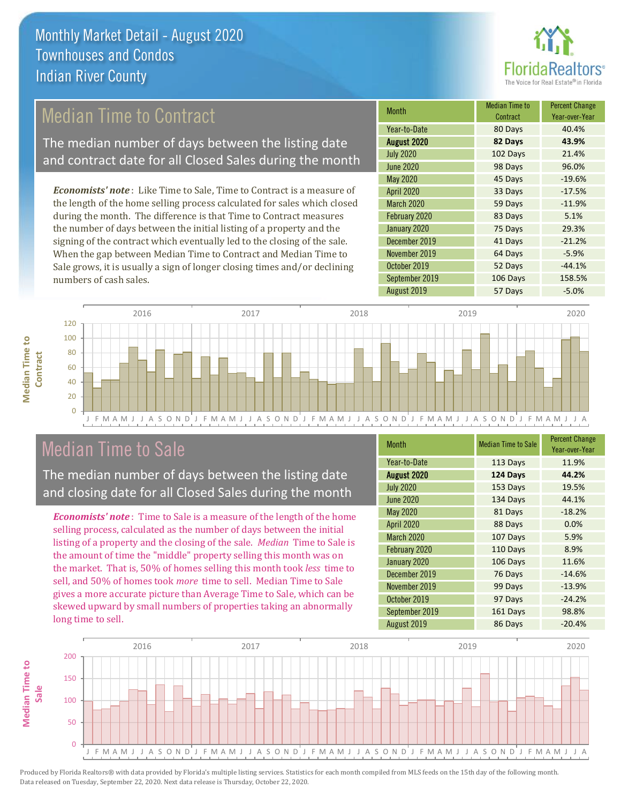

### Median Time to Contract

The median number of days between the listing date and contract date for all Closed Sales during the month

*Economists' note* : Like Time to Sale, Time to Contract is a measure of the length of the home selling process calculated for sales which closed during the month. The difference is that Time to Contract measures the number of days between the initial listing of a property and the signing of the contract which eventually led to the closing of the sale. When the gap between Median Time to Contract and Median Time to Sale grows, it is usually a sign of longer closing times and/or declining numbers of cash sales.

| <b>Month</b>      | <b>Median Time to</b><br>Contract | <b>Percent Change</b><br>Year-over-Year |
|-------------------|-----------------------------------|-----------------------------------------|
| Year-to-Date      | 80 Days                           | 40.4%                                   |
| August 2020       | 82 Days                           | 43.9%                                   |
| <b>July 2020</b>  | 102 Days                          | 21.4%                                   |
| <b>June 2020</b>  | 98 Days                           | 96.0%                                   |
| May 2020          | 45 Days                           | $-19.6%$                                |
| April 2020        | 33 Days                           | $-17.5%$                                |
| <b>March 2020</b> | 59 Days                           | $-11.9%$                                |
| February 2020     | 83 Days                           | 5.1%                                    |
| January 2020      | 75 Days                           | 29.3%                                   |
| December 2019     | 41 Days                           | $-21.2%$                                |
| November 2019     | 64 Days                           | $-5.9%$                                 |
| October 2019      | 52 Days                           | $-44.1%$                                |
| September 2019    | 106 Days                          | 158.5%                                  |
| August 2019       | 57 Days                           | $-5.0%$                                 |



### Median Time to Sale

**Median Time to Contract**

**Median Time to** 

The median number of days between the listing date and closing date for all Closed Sales during the month

*Economists' note* : Time to Sale is a measure of the length of the home selling process, calculated as the number of days between the initial listing of a property and the closing of the sale. *Median* Time to Sale is the amount of time the "middle" property selling this month was on the market. That is, 50% of homes selling this month took *less* time to sell, and 50% of homes took *more* time to sell. Median Time to Sale gives a more accurate picture than Average Time to Sale, which can be skewed upward by small numbers of properties taking an abnormally long time to sell.

| <b>Month</b>     | <b>Median Time to Sale</b> | <b>Percent Change</b><br>Year-over-Year |
|------------------|----------------------------|-----------------------------------------|
| Year-to-Date     | 113 Days                   | 11.9%                                   |
| August 2020      | 124 Days                   | 44.2%                                   |
| <b>July 2020</b> | 153 Days                   | 19.5%                                   |
| <b>June 2020</b> | 134 Days                   | 44.1%                                   |
| May 2020         | 81 Days                    | $-18.2%$                                |
| April 2020       | 88 Days                    | 0.0%                                    |
| March 2020       | 107 Days                   | 5.9%                                    |
| February 2020    | 110 Days                   | 8.9%                                    |
| January 2020     | 106 Days                   | 11.6%                                   |
| December 2019    | 76 Days                    | $-14.6%$                                |
| November 2019    | 99 Days                    | $-13.9%$                                |
| October 2019     | 97 Days                    | $-24.2%$                                |
| September 2019   | 161 Days                   | 98.8%                                   |
| August 2019      | 86 Days                    | $-20.4%$                                |

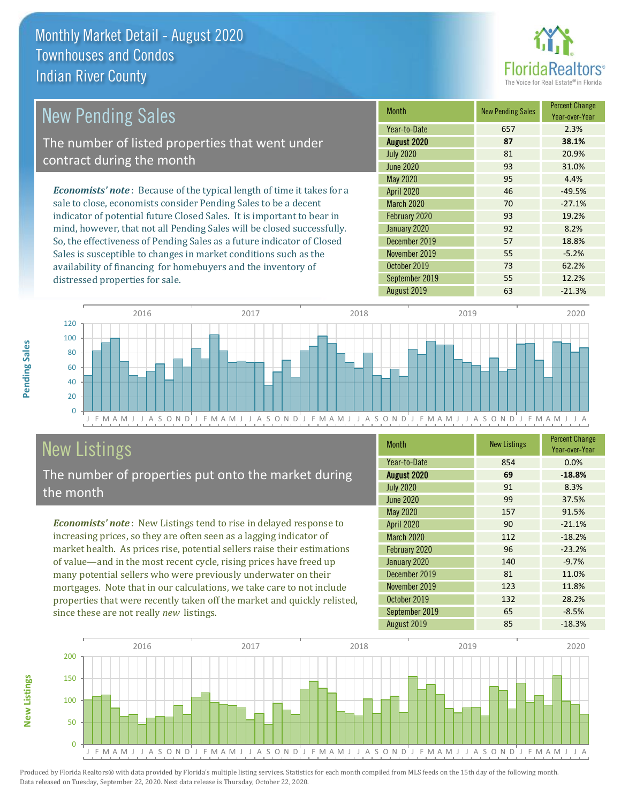

| <b>New Pending Sales</b>                                                       | <b>Month</b>      | <b>New Pending Sales</b> | <b>Percent Change</b><br>Year-over-Year |
|--------------------------------------------------------------------------------|-------------------|--------------------------|-----------------------------------------|
|                                                                                | Year-to-Date      | 657                      | 2.3%                                    |
| The number of listed properties that went under                                | August 2020       | 87                       | 38.1%                                   |
| contract during the month                                                      | <b>July 2020</b>  | 81                       | 20.9%                                   |
|                                                                                | <b>June 2020</b>  | 93                       | 31.0%                                   |
|                                                                                | <b>May 2020</b>   | 95                       | 4.4%                                    |
| <b>Economists' note</b> : Because of the typical length of time it takes for a | <b>April 2020</b> | 46                       | $-49.5%$                                |
| sale to close, economists consider Pending Sales to be a decent                | <b>March 2020</b> | 70                       | $-27.1%$                                |
| indicator of potential future Closed Sales. It is important to bear in         | February 2020     | 93                       | 19.2%                                   |
| mind, however, that not all Pending Sales will be closed successfully.         | January 2020      | 92                       | 8.2%                                    |
| So, the effectiveness of Pending Sales as a future indicator of Closed         | December 2019     | 57                       | 18.8%                                   |
| Sales is susceptible to changes in market conditions such as the               | November 2019     | 55                       | $-5.2%$                                 |
| availability of financing for homebuyers and the inventory of                  | October 2019      | 73                       | 62.2%                                   |



# New Listings

distressed properties for sale.

The number of properties put onto the market during the month

*Economists' note* : New Listings tend to rise in delayed response to increasing prices, so they are often seen as a lagging indicator of market health. As prices rise, potential sellers raise their estimations of value—and in the most recent cycle, rising prices have freed up many potential sellers who were previously underwater on their mortgages. Note that in our calculations, we take care to not include properties that were recently taken off the market and quickly relisted, since these are not really *new* listings.

| <b>Month</b>      | <b>New Listings</b> | <b>Percent Change</b><br>Year-over-Year |
|-------------------|---------------------|-----------------------------------------|
| Year-to-Date      | 854                 | 0.0%                                    |
| August 2020       | 69                  | $-18.8%$                                |
| <b>July 2020</b>  | 91                  | 8.3%                                    |
| <b>June 2020</b>  | 99                  | 37.5%                                   |
| May 2020          | 157                 | 91.5%                                   |
| April 2020        | 90                  | $-21.1%$                                |
| <b>March 2020</b> | 112                 | $-18.2%$                                |
| February 2020     | 96                  | $-23.2%$                                |
| January 2020      | 140                 | $-9.7%$                                 |
| December 2019     | 81                  | 11.0%                                   |
| November 2019     | 123                 | 11.8%                                   |
| October 2019      | 132                 | 28.2%                                   |
| September 2019    | 65                  | $-8.5%$                                 |
| August 2019       | 85                  | $-18.3%$                                |

August 2019 **63** -21.3%

September 2019 **55** 12.2%



Produced by Florida Realtors® with data provided by Florida's multiple listing services. Statistics for each month compiled from MLS feeds on the 15th day of the following month. Data released on Tuesday, September 22, 2020. Next data release is Thursday, October 22, 2020.

**New Listings**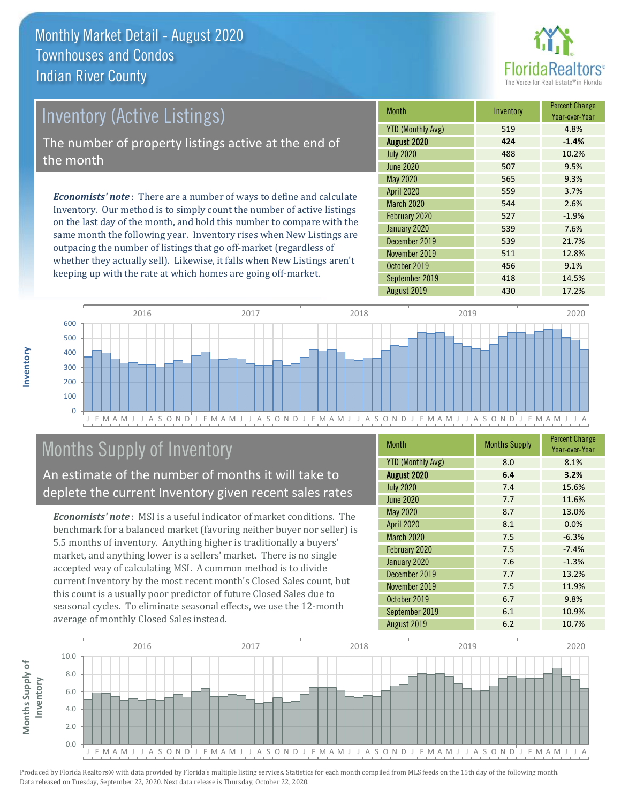

# *Economists' note* : There are a number of ways to define and calculate Inventory (Active Listings) The number of property listings active at the end of the month

Inventory. Our method is to simply count the number of active listings on the last day of the month, and hold this number to compare with the same month the following year. Inventory rises when New Listings are outpacing the number of listings that go off-market (regardless of whether they actually sell). Likewise, it falls when New Listings aren't keeping up with the rate at which homes are going off-market.

| <b>Month</b>             | Inventory | <b>Percent Change</b><br>Year-over-Year |
|--------------------------|-----------|-----------------------------------------|
| <b>YTD (Monthly Avg)</b> | 519       | 4.8%                                    |
| August 2020              | 424       | $-1.4%$                                 |
| <b>July 2020</b>         | 488       | 10.2%                                   |
| <b>June 2020</b>         | 507       | 9.5%                                    |
| <b>May 2020</b>          | 565       | 9.3%                                    |
| <b>April 2020</b>        | 559       | 3.7%                                    |
| <b>March 2020</b>        | 544       | 2.6%                                    |
| February 2020            | 527       | $-1.9%$                                 |
| January 2020             | 539       | 7.6%                                    |
| December 2019            | 539       | 21.7%                                   |
| November 2019            | 511       | 12.8%                                   |
| October 2019             | 456       | 9.1%                                    |
| September 2019           | 418       | 14.5%                                   |
| August 2019              | 430       | 17.2%                                   |



# Months Supply of Inventory

An estimate of the number of months it will take to deplete the current Inventory given recent sales rates

*Economists' note* : MSI is a useful indicator of market conditions. The benchmark for a balanced market (favoring neither buyer nor seller) is 5.5 months of inventory. Anything higher is traditionally a buyers' market, and anything lower is a sellers' market. There is no single accepted way of calculating MSI. A common method is to divide current Inventory by the most recent month's Closed Sales count, but this count is a usually poor predictor of future Closed Sales due to seasonal cycles. To eliminate seasonal effects, we use the 12-month average of monthly Closed Sales instead.

| <b>Month</b>             | <b>Months Supply</b> | <b>Percent Change</b><br>Year-over-Year |
|--------------------------|----------------------|-----------------------------------------|
| <b>YTD (Monthly Avg)</b> | 8.0                  | 8.1%                                    |
| August 2020              | 6.4                  | 3.2%                                    |
| <b>July 2020</b>         | 7.4                  | 15.6%                                   |
| <b>June 2020</b>         | 7.7                  | 11.6%                                   |
| <b>May 2020</b>          | 8.7                  | 13.0%                                   |
| April 2020               | 8.1                  | 0.0%                                    |
| <b>March 2020</b>        | 7.5                  | $-6.3%$                                 |
| February 2020            | 7.5                  | $-7.4%$                                 |
| January 2020             | 7.6                  | $-1.3%$                                 |
| December 2019            | 7.7                  | 13.2%                                   |
| November 2019            | 7.5                  | 11.9%                                   |
| October 2019             | 6.7                  | 9.8%                                    |
| September 2019           | 6.1                  | 10.9%                                   |
| August 2019              | 6.2                  | 10.7%                                   |

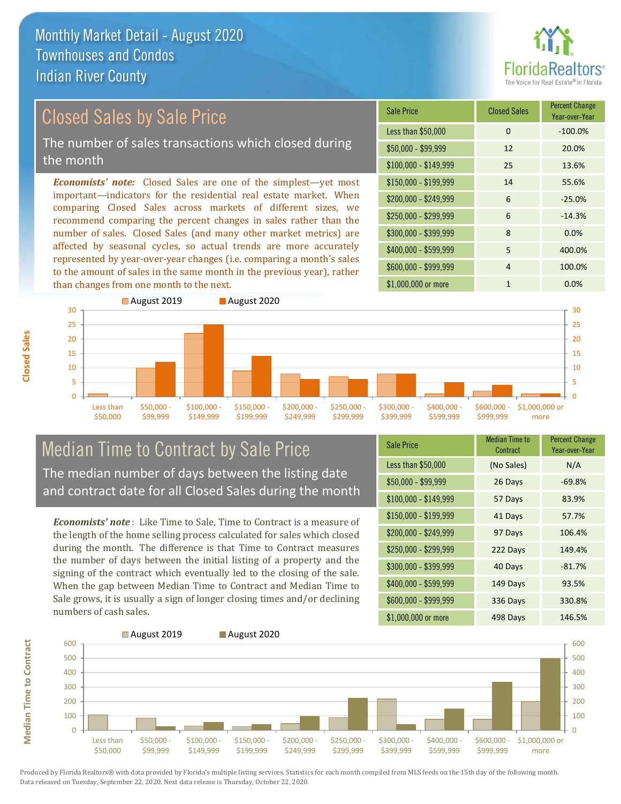

# Closed Sales by Sale Price

The number of sales transactions which closed during the month

*Economists' note:* Closed Sales are one of the simplest—yet most important—indicators for the residential real estate market. When comparing Closed Sales across markets of different sizes, we recommend comparing the percent changes in sales rather than the number of sales. Closed Sales (and many other market metrics) are affected by seasonal cycles, so actual trends are more accurately represented by year-over-year changes (i.e. comparing a month's sales to the amount of sales in the same month in the previous year), rather than changes from one month to the next.





### Median Time to Contract by Sale Price The median number of days between the listing date and contract date for all Closed Sales during the month

*Economists' note* : Like Time to Sale, Time to Contract is a measure of the length of the home selling process calculated for sales which closed during the month. The difference is that Time to Contract measures the number of days between the initial listing of a property and the signing of the contract which eventually led to the closing of the sale. When the gap between Median Time to Contract and Median Time to Sale grows, it is usually a sign of longer closing times and/or declining numbers of cash sales.

| <b>Sale Price</b>     | Median Time to<br>Contract | <b>Percent Change</b><br>Year-over-Year |
|-----------------------|----------------------------|-----------------------------------------|
| Less than \$50,000    | (No Sales)                 | N/A                                     |
| $$50,000 - $99,999$   | 26 Days                    | $-69.8%$                                |
| $$100,000 - $149,999$ | 57 Days                    | 83.9%                                   |
| $$150,000 - $199,999$ | 41 Days                    | 57.7%                                   |
| \$200,000 - \$249,999 | 97 Days                    | 106.4%                                  |
| \$250,000 - \$299,999 | 222 Days                   | 149.4%                                  |
| \$300,000 - \$399,999 | 40 Days                    | $-81.7%$                                |
| \$400,000 - \$599,999 | 149 Days                   | 93.5%                                   |
| \$600,000 - \$999,999 | 336 Days                   | 330.8%                                  |
| \$1,000,000 or more   | 498 Days                   | 146.5%                                  |



**Median Time to Contract**

**Median Time to Contract**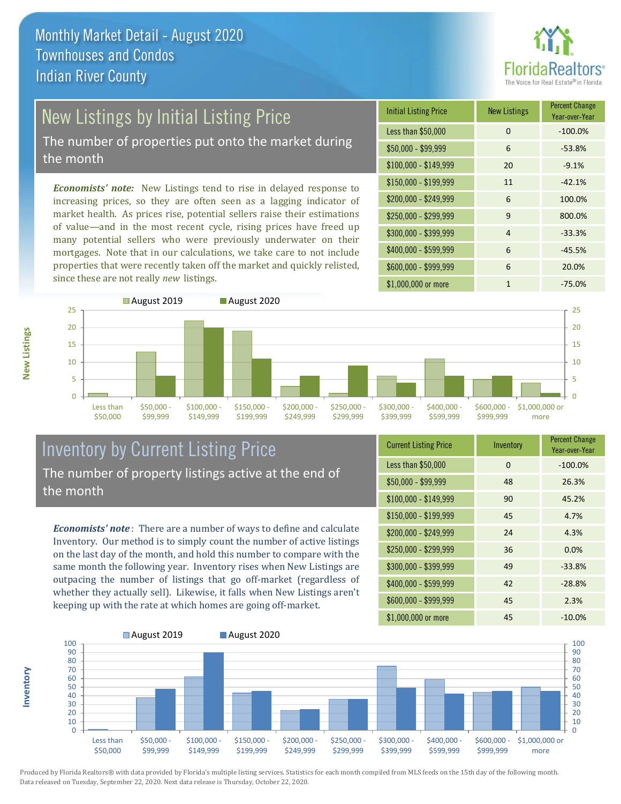

# New Listings by Initial Listing Price

The number of properties put onto the market during the month

*Economists' note:* New Listings tend to rise in delayed response to increasing prices, so they are often seen as a lagging indicator of market health. As prices rise, potential sellers raise their estimations of value—and in the most recent cycle, rising prices have freed up many potential sellers who were previously underwater on their mortgages. Note that in our calculations, we take care to not include properties that were recently taken off the market and quickly relisted, since these are not really *new* listings.

| <b>Initial Listing Price</b> | <b>New Listings</b> | <b>Percent Change</b><br>Year-over-Year |
|------------------------------|---------------------|-----------------------------------------|
| Less than \$50,000           | 0                   | $-100.0%$                               |
| $$50,000 - $99,999$          | 6                   | $-53.8%$                                |
| $$100,000 - $149,999$        | 20                  | $-9.1%$                                 |
| $$150,000 - $199,999$        | 11                  | $-42.1%$                                |
| \$200,000 - \$249,999        | 6                   | 100.0%                                  |
| \$250,000 - \$299,999        | 9                   | 800.0%                                  |
| \$300,000 - \$399,999        | 4                   | $-33.3%$                                |
| \$400,000 - \$599,999        | 6                   | $-45.5%$                                |
| \$600,000 - \$999,999        | 6                   | 20.0%                                   |
| \$1,000,000 or more          | 1                   | $-75.0%$                                |



### Inventory by Current Listing Price The number of property listings active at the end of the month

*Economists' note* : There are a number of ways to define and calculate Inventory. Our method is to simply count the number of active listings on the last day of the month, and hold this number to compare with the same month the following year. Inventory rises when New Listings are outpacing the number of listings that go off-market (regardless of whether they actually sell). Likewise, it falls when New Listings aren't keeping up with the rate at which homes are going off-market.

| <b>Current Listing Price</b> | Inventory | <b>Percent Change</b><br>Year-over-Year |
|------------------------------|-----------|-----------------------------------------|
| Less than \$50,000           | 0         | $-100.0%$                               |
| $$50,000 - $99,999$          | 48        | 26.3%                                   |
| $$100,000 - $149,999$        | 90        | 45.2%                                   |
| $$150,000 - $199,999$        | 45        | 4.7%                                    |
| \$200,000 - \$249,999        | 24        | 4.3%                                    |
| \$250,000 - \$299,999        | 36        | 0.0%                                    |
| \$300,000 - \$399,999        | 49        | $-33.8%$                                |
| \$400,000 - \$599,999        | 42        | $-28.8%$                                |
| \$600,000 - \$999,999        | 45        | 2.3%                                    |
| \$1,000,000 or more          | 45        | $-10.0%$                                |



Produced by Florida Realtors® with data provided by Florida's multiple listing services. Statistics for each month compiled from MLS feeds on the 15th day of the following month. Data released on Tuesday, September 22, 2020. Next data release is Thursday, October 22, 2020.

**Inventory**